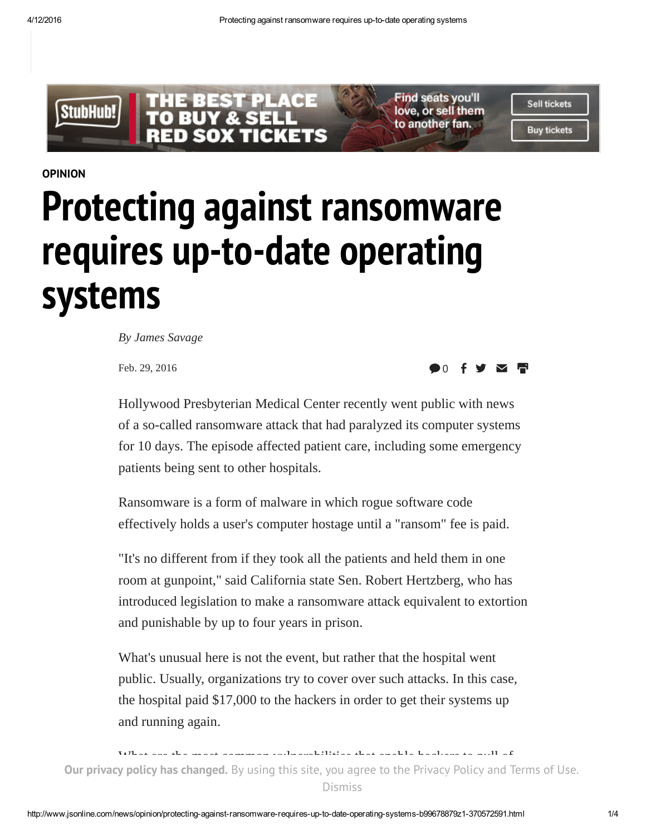

[OPINION](http://www.jsonline.com/news/opinion)

## Protecting against ransomware requires up-to-date operating systems

By James Savage

Feb. 29, 2016

0  $\bullet$   $\bullet$   $\bullet$   $\bullet$   $\bullet$ 

Hollywood Presbyterian Medical Center recently went public with news of a so-called ransomware attack that had paralyzed its computer systems for 10 days. The episode affected patient care, including some emergency patients being sent to other hospitals.

Ransomware is a form of malware in which rogue software code effectively holds a user's computer hostage until a "ransom" fee is paid.

"It's no different from if they took all the patients and held them in one room at gunpoint," said California state Sen. Robert Hertzberg, who has introduced legislation to make a ransomware attack equivalent to extortion and punishable by up to four years in prison.

What's unusual here is not the event, but rather that the hospital went public. Usually, organizations try to cover over such attacks. In this case, the hospital paid \$17,000 to the hackers in order to get their systems up and running again.

What are the most common vulnerabilities that enable hackers to pull of Our privacy policy has changed. By using this site, you agree to the [Privacy](http://static.jsonline.com/privacy/) Policy and [Terms](http://static.jsonline.com/terms/) of Use.<br>Discussions of Use and Terms of Use. Dismiss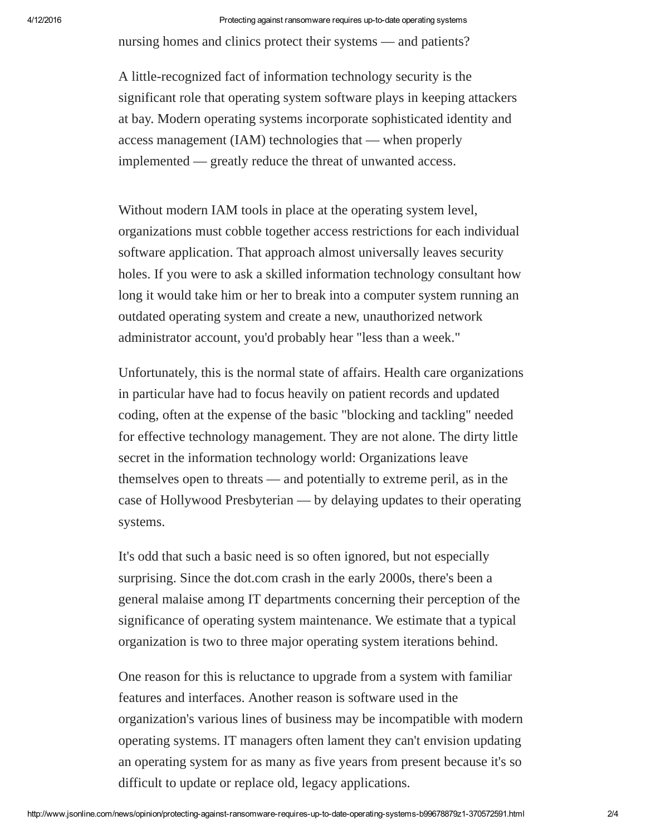nursing homes and clinics protect their systems — and patients?

A little-recognized fact of information technology security is the significant role that operating system software plays in keeping attackers at bay. Modern operating systems incorporate sophisticated identity and access management (IAM) technologies that — when properly implemented — greatly reduce the threat of unwanted access.

Without modern IAM tools in place at the operating system level, organizations must cobble together access restrictions for each individual software application. That approach almost universally leaves security holes. If you were to ask a skilled information technology consultant how long it would take him or her to break into a computer system running an outdated operating system and create a new, unauthorized network administrator account, you'd probably hear "less than a week."

Unfortunately, this is the normal state of affairs. Health care organizations in particular have had to focus heavily on patient records and updated coding, often at the expense of the basic "blocking and tackling" needed for effective technology management. They are not alone. The dirty little secret in the information technology world: Organizations leave themselves open to threats — and potentially to extreme peril, as in the case of Hollywood Presbyterian — by delaying updates to their operating systems.

It's odd that such a basic need is so often ignored, but not especially surprising. Since the dot.com crash in the early 2000s, there's been a general malaise among IT departments concerning their perception of the significance of operating system maintenance. We estimate that a typical organization is two to three major operating system iterations behind.

One reason for this is reluctance to upgrade from a system with familiar features and interfaces. Another reason is software used in the organization's various lines of business may be incompatible with modern operating systems. IT managers often lament they can't envision updating an operating system for as many as five years from present because it's so difficult to update or replace old, legacy applications.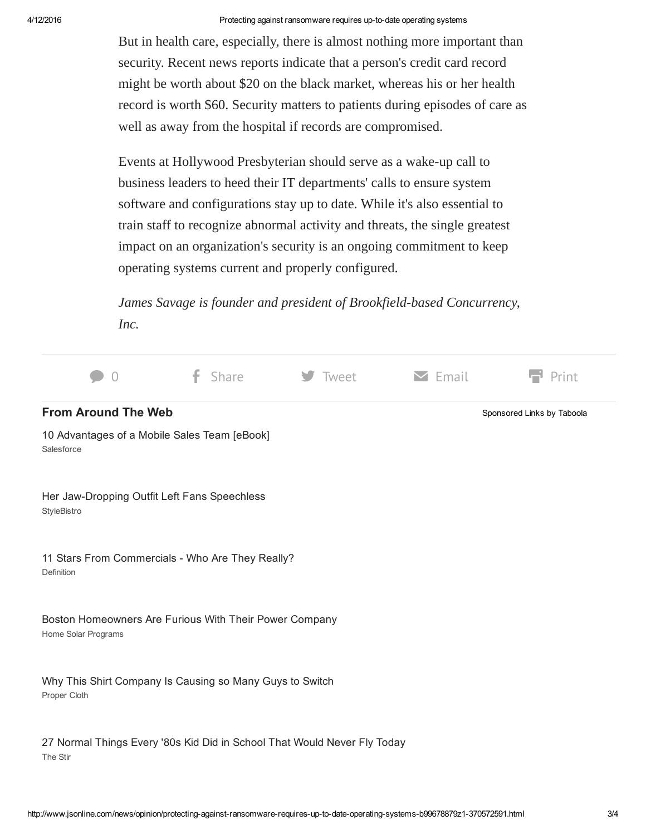But in health care, especially, there is almost nothing more important than security. Recent news reports indicate that a person's credit card record might be worth about \$20 on the black market, whereas his or her health record is worth \$60. Security matters to patients during episodes of care as well as away from the hospital if records are compromised.

Events at Hollywood Presbyterian should serve as a wake-up call to business leaders to heed their IT departments' calls to ensure system software and configurations stay up to date. While it's also essential to train staff to recognize abnormal activity and threats, the single greatest impact on an organization's security is an ongoing commitment to keep operating systems current and properly configured.

James Savage is founder and president of Brookfield-based Concurrency, Inc.